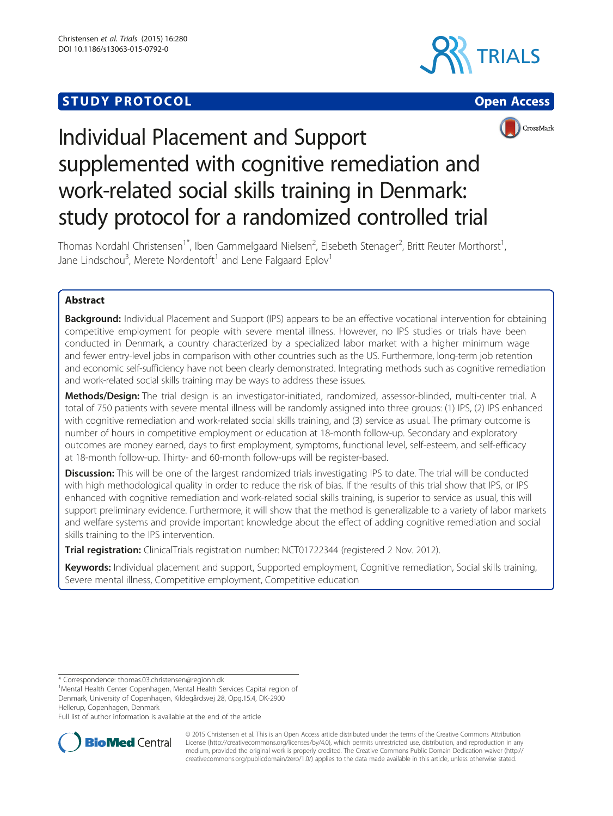# **STUDY PROTOCOL CONSUMING THE RESERVE ACCESS**







# Individual Placement and Support supplemented with cognitive remediation and work-related social skills training in Denmark: study protocol for a randomized controlled trial

Thomas Nordahl Christensen<sup>1\*</sup>, Iben Gammelgaard Nielsen<sup>2</sup>, Elsebeth Stenager<sup>2</sup>, Britt Reuter Morthorst<sup>1</sup> , Jane Lindschou<sup>3</sup>, Merete Nordentoft<sup>1</sup> and Lene Falgaard Eplov<sup>1</sup>

# Abstract

Background: Individual Placement and Support (IPS) appears to be an effective vocational intervention for obtaining competitive employment for people with severe mental illness. However, no IPS studies or trials have been conducted in Denmark, a country characterized by a specialized labor market with a higher minimum wage and fewer entry-level jobs in comparison with other countries such as the US. Furthermore, long-term job retention and economic self-sufficiency have not been clearly demonstrated. Integrating methods such as cognitive remediation and work-related social skills training may be ways to address these issues.

Methods/Design: The trial design is an investigator-initiated, randomized, assessor-blinded, multi-center trial. A total of 750 patients with severe mental illness will be randomly assigned into three groups: (1) IPS, (2) IPS enhanced with cognitive remediation and work-related social skills training, and (3) service as usual. The primary outcome is number of hours in competitive employment or education at 18-month follow-up. Secondary and exploratory outcomes are money earned, days to first employment, symptoms, functional level, self-esteem, and self-efficacy at 18-month follow-up. Thirty- and 60-month follow-ups will be register-based.

**Discussion:** This will be one of the largest randomized trials investigating IPS to date. The trial will be conducted with high methodological quality in order to reduce the risk of bias. If the results of this trial show that IPS, or IPS enhanced with cognitive remediation and work-related social skills training, is superior to service as usual, this will support preliminary evidence. Furthermore, it will show that the method is generalizable to a variety of labor markets and welfare systems and provide important knowledge about the effect of adding cognitive remediation and social skills training to the IPS intervention.

**Trial registration:** ClinicalTrials registration number: [NCT01722344](http://www.clinicaltrials.gov/show/NCT01722344) (registered 2 Nov. 2012).

Keywords: Individual placement and support, Supported employment, Cognitive remediation, Social skills training, Severe mental illness, Competitive employment, Competitive education

\* Correspondence: [thomas.03.christensen@regionh.dk](mailto:thomas.03.christensen@regionh.dk) <sup>1</sup>

<sup>1</sup>Mental Health Center Copenhagen, Mental Health Services Capital region of Denmark, University of Copenhagen, Kildegårdsvej 28, Opg.15.4, DK-2900 Hellerup, Copenhagen, Denmark

Full list of author information is available at the end of the article



© 2015 Christensen et al. This is an Open Access article distributed under the terms of the Creative Commons Attribution License (<http://creativecommons.org/licenses/by/4.0>), which permits unrestricted use, distribution, and reproduction in any medium, provided the original work is properly credited. The Creative Commons Public Domain Dedication waiver [\(http://](http://creativecommons.org/publicdomain/zero/1.0/) [creativecommons.org/publicdomain/zero/1.0/\)](http://creativecommons.org/publicdomain/zero/1.0/) applies to the data made available in this article, unless otherwise stated.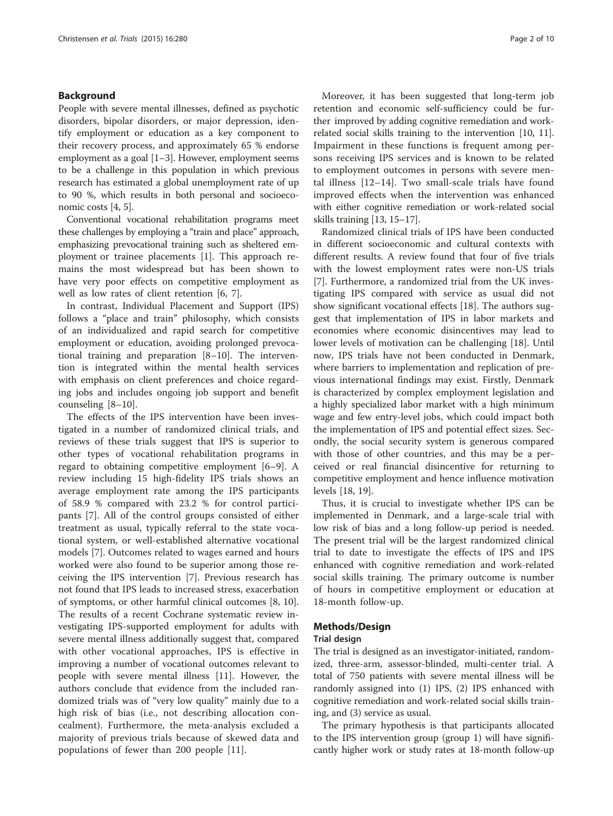## Background

People with severe mental illnesses, defined as psychotic disorders, bipolar disorders, or major depression, identify employment or education as a key component to their recovery process, and approximately 65 % endorse employment as a goal [[1](#page-8-0)–[3](#page-8-0)]. However, employment seems to be a challenge in this population in which previous research has estimated a global unemployment rate of up to 90 %, which results in both personal and socioeconomic costs [\[4](#page-8-0), [5\]](#page-8-0).

Conventional vocational rehabilitation programs meet these challenges by employing a "train and place" approach, emphasizing prevocational training such as sheltered employment or trainee placements [\[1\]](#page-8-0). This approach remains the most widespread but has been shown to have very poor effects on competitive employment as well as low rates of client retention [\[6, 7\]](#page-8-0).

In contrast, Individual Placement and Support (IPS) follows a "place and train" philosophy, which consists of an individualized and rapid search for competitive employment or education, avoiding prolonged prevocational training and preparation [[8](#page-8-0)–[10](#page-8-0)]. The intervention is integrated within the mental health services with emphasis on client preferences and choice regarding jobs and includes ongoing job support and benefit counseling [[8](#page-8-0)–[10](#page-8-0)].

The effects of the IPS intervention have been investigated in a number of randomized clinical trials, and reviews of these trials suggest that IPS is superior to other types of vocational rehabilitation programs in regard to obtaining competitive employment [\[6](#page-8-0)–[9](#page-8-0)]. A review including 15 high-fidelity IPS trials shows an average employment rate among the IPS participants of 58.9 % compared with 23.2 % for control participants [\[7](#page-8-0)]. All of the control groups consisted of either treatment as usual, typically referral to the state vocational system, or well-established alternative vocational models [[7\]](#page-8-0). Outcomes related to wages earned and hours worked were also found to be superior among those receiving the IPS intervention [[7\]](#page-8-0). Previous research has not found that IPS leads to increased stress, exacerbation of symptoms, or other harmful clinical outcomes [\[8](#page-8-0), [10](#page-8-0)]. The results of a recent Cochrane systematic review investigating IPS-supported employment for adults with severe mental illness additionally suggest that, compared with other vocational approaches, IPS is effective in improving a number of vocational outcomes relevant to people with severe mental illness [[11](#page-8-0)]. However, the authors conclude that evidence from the included randomized trials was of "very low quality" mainly due to a high risk of bias (i.e., not describing allocation concealment). Furthermore, the meta-analysis excluded a majority of previous trials because of skewed data and populations of fewer than 200 people [\[11](#page-8-0)].

Moreover, it has been suggested that long-term job retention and economic self-sufficiency could be further improved by adding cognitive remediation and workrelated social skills training to the intervention [[10](#page-8-0), [11](#page-8-0)]. Impairment in these functions is frequent among persons receiving IPS services and is known to be related to employment outcomes in persons with severe mental illness [[12](#page-8-0)–[14](#page-8-0)]. Two small-scale trials have found improved effects when the intervention was enhanced with either cognitive remediation or work-related social skills training [[13, 15](#page-8-0)–[17](#page-8-0)].

Randomized clinical trials of IPS have been conducted in different socioeconomic and cultural contexts with different results. A review found that four of five trials with the lowest employment rates were non-US trials [[7\]](#page-8-0). Furthermore, a randomized trial from the UK investigating IPS compared with service as usual did not show significant vocational effects [\[18](#page-8-0)]. The authors suggest that implementation of IPS in labor markets and economies where economic disincentives may lead to lower levels of motivation can be challenging [\[18\]](#page-8-0). Until now, IPS trials have not been conducted in Denmark, where barriers to implementation and replication of previous international findings may exist. Firstly, Denmark is characterized by complex employment legislation and a highly specialized labor market with a high minimum wage and few entry-level jobs, which could impact both the implementation of IPS and potential effect sizes. Secondly, the social security system is generous compared with those of other countries, and this may be a perceived or real financial disincentive for returning to competitive employment and hence influence motivation levels [\[18, 19\]](#page-8-0).

Thus, it is crucial to investigate whether IPS can be implemented in Denmark, and a large-scale trial with low risk of bias and a long follow-up period is needed. The present trial will be the largest randomized clinical trial to date to investigate the effects of IPS and IPS enhanced with cognitive remediation and work-related social skills training. The primary outcome is number of hours in competitive employment or education at 18-month follow-up.

## Methods/Design

#### Trial design

The trial is designed as an investigator-initiated, randomized, three-arm, assessor-blinded, multi-center trial. A total of 750 patients with severe mental illness will be randomly assigned into (1) IPS, (2) IPS enhanced with cognitive remediation and work-related social skills training, and (3) service as usual.

The primary hypothesis is that participants allocated to the IPS intervention group (group 1) will have significantly higher work or study rates at 18-month follow-up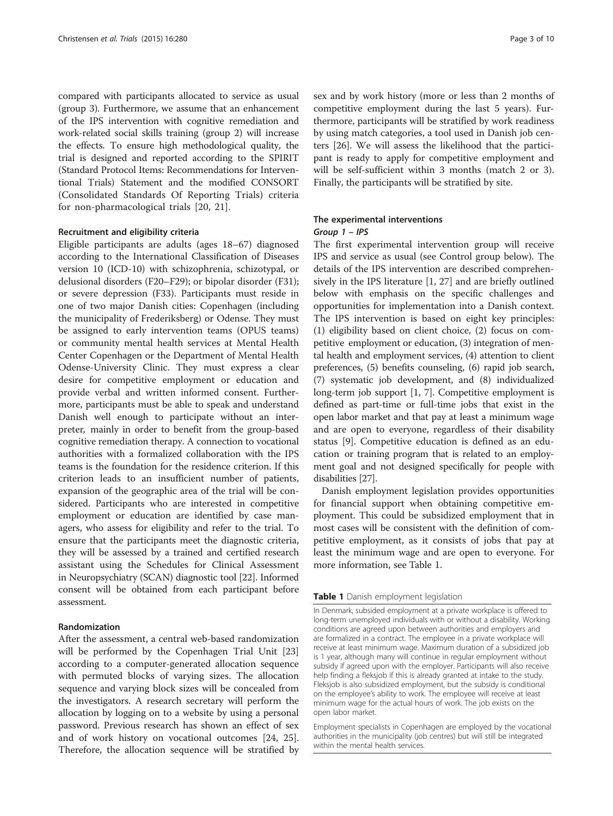<span id="page-2-0"></span>compared with participants allocated to service as usual (group 3). Furthermore, we assume that an enhancement of the IPS intervention with cognitive remediation and work-related social skills training (group 2) will increase the effects. To ensure high methodological quality, the trial is designed and reported according to the SPIRIT (Standard Protocol Items: Recommendations for Interventional Trials) Statement and the modified CONSORT (Consolidated Standards Of Reporting Trials) criteria for non-pharmacological trials [[20, 21\]](#page-8-0).

#### Recruitment and eligibility criteria

Eligible participants are adults (ages 18–67) diagnosed according to the International Classification of Diseases version 10 (ICD-10) with schizophrenia, schizotypal, or delusional disorders (F20–F29); or bipolar disorder (F31); or severe depression (F33). Participants must reside in one of two major Danish cities: Copenhagen (including the municipality of Frederiksberg) or Odense. They must be assigned to early intervention teams (OPUS teams) or community mental health services at Mental Health Center Copenhagen or the Department of Mental Health Odense-University Clinic. They must express a clear desire for competitive employment or education and provide verbal and written informed consent. Furthermore, participants must be able to speak and understand Danish well enough to participate without an interpreter, mainly in order to benefit from the group-based cognitive remediation therapy. A connection to vocational authorities with a formalized collaboration with the IPS teams is the foundation for the residence criterion. If this criterion leads to an insufficient number of patients, expansion of the geographic area of the trial will be considered. Participants who are interested in competitive employment or education are identified by case managers, who assess for eligibility and refer to the trial. To ensure that the participants meet the diagnostic criteria, they will be assessed by a trained and certified research assistant using the Schedules for Clinical Assessment in Neuropsychiatry (SCAN) diagnostic tool [\[22](#page-8-0)]. Informed consent will be obtained from each participant before assessment.

#### Randomization

After the assessment, a central web-based randomization will be performed by the Copenhagen Trial Unit [[23](#page-8-0)] according to a computer-generated allocation sequence with permuted blocks of varying sizes. The allocation sequence and varying block sizes will be concealed from the investigators. A research secretary will perform the allocation by logging on to a website by using a personal password. Previous research has shown an effect of sex and of work history on vocational outcomes [\[24](#page-8-0), [25](#page-8-0)]. Therefore, the allocation sequence will be stratified by sex and by work history (more or less than 2 months of competitive employment during the last 5 years). Furthermore, participants will be stratified by work readiness by using match categories, a tool used in Danish job centers [[26\]](#page-8-0). We will assess the likelihood that the participant is ready to apply for competitive employment and will be self-sufficient within 3 months (match 2 or 3). Finally, the participants will be stratified by site.

## The experimental interventions Group 1 – IPS

The first experimental intervention group will receive IPS and service as usual (see [Control group](#page-3-0) below). The details of the IPS intervention are described comprehensively in the IPS literature [[1, 27\]](#page-8-0) and are briefly outlined below with emphasis on the specific challenges and opportunities for implementation into a Danish context. The IPS intervention is based on eight key principles: (1) eligibility based on client choice, (2) focus on competitive employment or education, (3) integration of mental health and employment services, (4) attention to client preferences, (5) benefits counseling, (6) rapid job search, (7) systematic job development, and (8) individualized long-term job support [[1, 7](#page-8-0)]. Competitive employment is defined as part-time or full-time jobs that exist in the open labor market and that pay at least a minimum wage and are open to everyone, regardless of their disability status [[9\]](#page-8-0). Competitive education is defined as an education or training program that is related to an employment goal and not designed specifically for people with disabilities [\[27\]](#page-8-0).

Danish employment legislation provides opportunities for financial support when obtaining competitive employment. This could be subsidized employment that in most cases will be consistent with the definition of competitive employment, as it consists of jobs that pay at least the minimum wage and are open to everyone. For more information, see Table 1.

#### Table 1 Danish employment legislation

In Denmark, subsided employment at a private workplace is offered to long-term unemployed individuals with or without a disability. Working conditions are agreed upon between authorities and employers and are formalized in a contract. The employee in a private workplace will receive at least minimum wage. Maximum duration of a subsidized job is 1 year, although many will continue in regular employment without subsidy if agreed upon with the employer. Participants will also receive help finding a fleksjob if this is already granted at intake to the study. Fleksjob is also subsidized employment, but the subsidy is conditional on the employee's ability to work. The employee will receive at least minimum wage for the actual hours of work. The job exists on the open labor market.

Employment specialists in Copenhagen are employed by the vocational authorities in the municipality (job centres) but will still be integrated within the mental health services.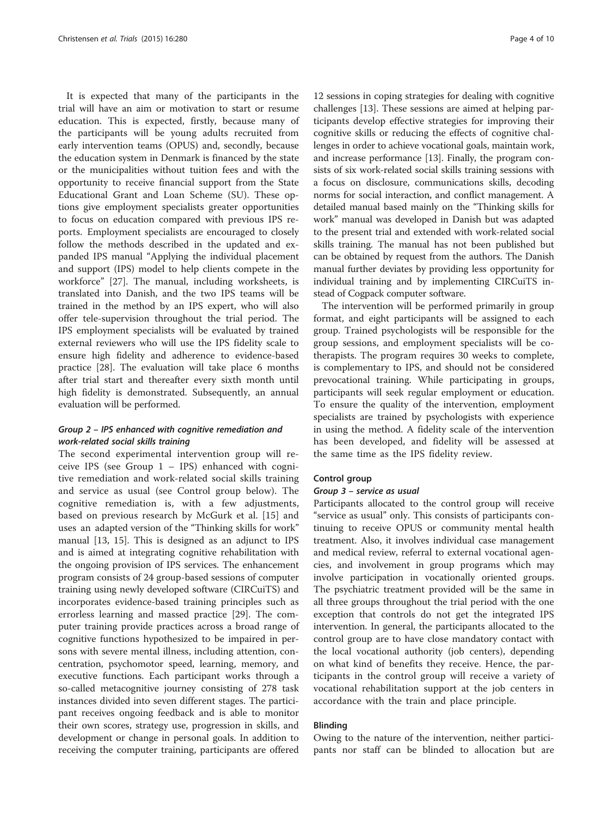<span id="page-3-0"></span>It is expected that many of the participants in the trial will have an aim or motivation to start or resume education. This is expected, firstly, because many of the participants will be young adults recruited from early intervention teams (OPUS) and, secondly, because the education system in Denmark is financed by the state or the municipalities without tuition fees and with the opportunity to receive financial support from the State Educational Grant and Loan Scheme (SU). These options give employment specialists greater opportunities to focus on education compared with previous IPS reports. Employment specialists are encouraged to closely follow the methods described in the updated and expanded IPS manual "Applying the individual placement and support (IPS) model to help clients compete in the workforce" [\[27](#page-8-0)]. The manual, including worksheets, is translated into Danish, and the two IPS teams will be trained in the method by an IPS expert, who will also offer tele-supervision throughout the trial period. The IPS employment specialists will be evaluated by trained external reviewers who will use the IPS fidelity scale to ensure high fidelity and adherence to evidence-based practice [[28](#page-8-0)]. The evaluation will take place 6 months after trial start and thereafter every sixth month until high fidelity is demonstrated. Subsequently, an annual evaluation will be performed.

# Group 2 – IPS enhanced with cognitive remediation and work-related social skills training

The second experimental intervention group will receive IPS (see [Group 1](#page-2-0) – IPS) enhanced with cognitive remediation and work-related social skills training and service as usual (see Control group below). The cognitive remediation is, with a few adjustments, based on previous research by McGurk et al. [[15](#page-8-0)] and uses an adapted version of the "Thinking skills for work" manual [\[13](#page-8-0), [15](#page-8-0)]. This is designed as an adjunct to IPS and is aimed at integrating cognitive rehabilitation with the ongoing provision of IPS services. The enhancement program consists of 24 group-based sessions of computer training using newly developed software (CIRCuiTS) and incorporates evidence-based training principles such as errorless learning and massed practice [[29](#page-8-0)]. The computer training provide practices across a broad range of cognitive functions hypothesized to be impaired in persons with severe mental illness, including attention, concentration, psychomotor speed, learning, memory, and executive functions. Each participant works through a so-called metacognitive journey consisting of 278 task instances divided into seven different stages. The participant receives ongoing feedback and is able to monitor their own scores, strategy use, progression in skills, and development or change in personal goals. In addition to receiving the computer training, participants are offered

12 sessions in coping strategies for dealing with cognitive challenges [[13\]](#page-8-0). These sessions are aimed at helping participants develop effective strategies for improving their cognitive skills or reducing the effects of cognitive challenges in order to achieve vocational goals, maintain work, and increase performance [\[13\]](#page-8-0). Finally, the program consists of six work-related social skills training sessions with a focus on disclosure, communications skills, decoding norms for social interaction, and conflict management. A detailed manual based mainly on the "Thinking skills for work" manual was developed in Danish but was adapted to the present trial and extended with work-related social skills training. The manual has not been published but can be obtained by request from the authors. The Danish manual further deviates by providing less opportunity for individual training and by implementing CIRCuiTS instead of Cogpack computer software.

The intervention will be performed primarily in group format, and eight participants will be assigned to each group. Trained psychologists will be responsible for the group sessions, and employment specialists will be cotherapists. The program requires 30 weeks to complete, is complementary to IPS, and should not be considered prevocational training. While participating in groups, participants will seek regular employment or education. To ensure the quality of the intervention, employment specialists are trained by psychologists with experience in using the method. A fidelity scale of the intervention has been developed, and fidelity will be assessed at the same time as the IPS fidelity review.

# Control group

#### Group 3 – service as usual

Participants allocated to the control group will receive "service as usual" only. This consists of participants continuing to receive OPUS or community mental health treatment. Also, it involves individual case management and medical review, referral to external vocational agencies, and involvement in group programs which may involve participation in vocationally oriented groups. The psychiatric treatment provided will be the same in all three groups throughout the trial period with the one exception that controls do not get the integrated IPS intervention. In general, the participants allocated to the control group are to have close mandatory contact with the local vocational authority (job centers), depending on what kind of benefits they receive. Hence, the participants in the control group will receive a variety of vocational rehabilitation support at the job centers in accordance with the train and place principle.

#### Blinding

Owing to the nature of the intervention, neither participants nor staff can be blinded to allocation but are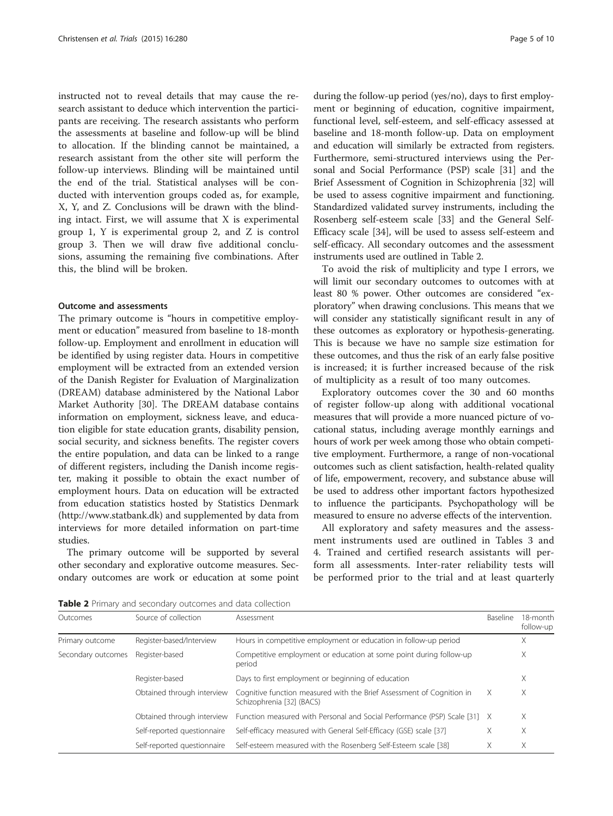instructed not to reveal details that may cause the research assistant to deduce which intervention the participants are receiving. The research assistants who perform the assessments at baseline and follow-up will be blind to allocation. If the blinding cannot be maintained, a research assistant from the other site will perform the follow-up interviews. Blinding will be maintained until the end of the trial. Statistical analyses will be conducted with intervention groups coded as, for example, X, Y, and Z. Conclusions will be drawn with the blinding intact. First, we will assume that X is experimental group 1, Y is experimental group 2, and Z is control group 3. Then we will draw five additional conclusions, assuming the remaining five combinations. After this, the blind will be broken.

## Outcome and assessments

The primary outcome is "hours in competitive employment or education" measured from baseline to 18-month follow-up. Employment and enrollment in education will be identified by using register data. Hours in competitive employment will be extracted from an extended version of the Danish Register for Evaluation of Marginalization (DREAM) database administered by the National Labor Market Authority [[30\]](#page-8-0). The DREAM database contains information on employment, sickness leave, and education eligible for state education grants, disability pension, social security, and sickness benefits. The register covers the entire population, and data can be linked to a range of different registers, including the Danish income register, making it possible to obtain the exact number of employment hours. Data on education will be extracted from education statistics hosted by Statistics Denmark (<http://www.statbank.dk>) and supplemented by data from interviews for more detailed information on part-time studies.

The primary outcome will be supported by several other secondary and explorative outcome measures. Secondary outcomes are work or education at some point

during the follow-up period (yes/no), days to first employment or beginning of education, cognitive impairment, functional level, self-esteem, and self-efficacy assessed at baseline and 18-month follow-up. Data on employment and education will similarly be extracted from registers. Furthermore, semi-structured interviews using the Personal and Social Performance (PSP) scale [[31](#page-8-0)] and the Brief Assessment of Cognition in Schizophrenia [[32\]](#page-8-0) will be used to assess cognitive impairment and functioning. Standardized validated survey instruments, including the Rosenberg self-esteem scale [[33\]](#page-8-0) and the General Self-Efficacy scale [\[34\]](#page-8-0), will be used to assess self-esteem and self-efficacy. All secondary outcomes and the assessment instruments used are outlined in Table 2.

To avoid the risk of multiplicity and type I errors, we will limit our secondary outcomes to outcomes with at least 80 % power. Other outcomes are considered "exploratory" when drawing conclusions. This means that we will consider any statistically significant result in any of these outcomes as exploratory or hypothesis-generating. This is because we have no sample size estimation for these outcomes, and thus the risk of an early false positive is increased; it is further increased because of the risk of multiplicity as a result of too many outcomes.

Exploratory outcomes cover the 30 and 60 months of register follow-up along with additional vocational measures that will provide a more nuanced picture of vocational status, including average monthly earnings and hours of work per week among those who obtain competitive employment. Furthermore, a range of non-vocational outcomes such as client satisfaction, health-related quality of life, empowerment, recovery, and substance abuse will be used to address other important factors hypothesized to influence the participants. Psychopathology will be measured to ensure no adverse effects of the intervention.

All exploratory and safety measures and the assessment instruments used are outlined in Tables [3](#page-5-0) and [4.](#page-5-0) Trained and certified research assistants will perform all assessments. Inter-rater reliability tests will be performed prior to the trial and at least quarterly

Table 2 Primary and secondary outcomes and data collection

| Outcomes           | Source of collection        | Assessment                                                                                         | Baseline | 18-month<br>follow-up |
|--------------------|-----------------------------|----------------------------------------------------------------------------------------------------|----------|-----------------------|
| Primary outcome    | Register-based/Interview    | Hours in competitive employment or education in follow-up period                                   |          | Χ                     |
| Secondary outcomes | Register-based              | Competitive employment or education at some point during follow-up<br>period                       |          | X                     |
|                    | Register-based              | Days to first employment or beginning of education                                                 |          | X                     |
|                    | Obtained through interview  | Cognitive function measured with the Brief Assessment of Cognition in<br>Schizophrenia [32] (BACS) | X.       | X                     |
|                    | Obtained through interview  | Function measured with Personal and Social Performance (PSP) Scale [31] X                          |          | X                     |
|                    | Self-reported questionnaire | Self-efficacy measured with General Self-Efficacy (GSE) scale [37]                                 | х.       | X                     |
|                    | Self-reported questionnaire | Self-esteem measured with the Rosenberg Self-Esteem scale [38]                                     | Χ        | X                     |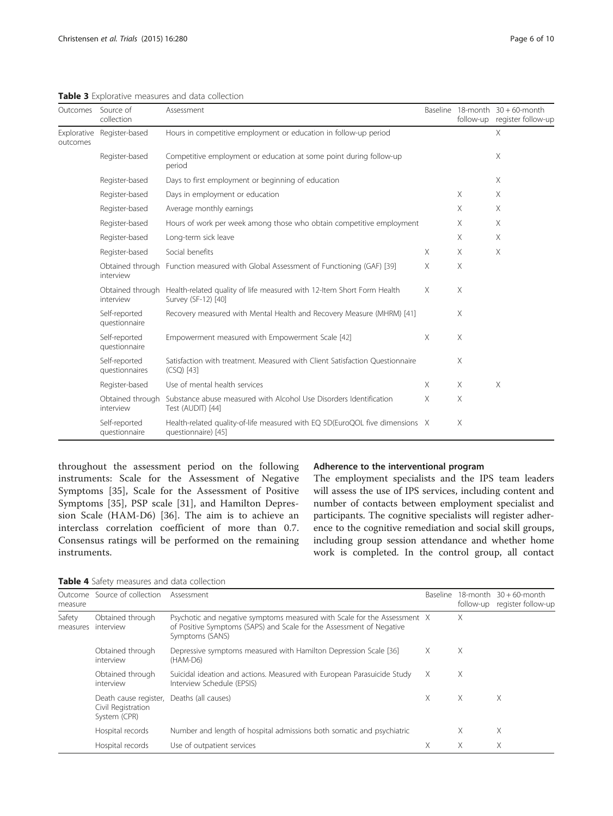| Outcomes | Source of<br>collection         | Assessment                                                                                          |          |          | Baseline 18-month 30 + 60-month<br>follow-up register follow-up |
|----------|---------------------------------|-----------------------------------------------------------------------------------------------------|----------|----------|-----------------------------------------------------------------|
| outcomes | Explorative Register-based      | Hours in competitive employment or education in follow-up period                                    |          |          | $\times$                                                        |
|          | Register-based                  | Competitive employment or education at some point during follow-up<br>period                        |          |          | Χ                                                               |
|          | Register-based                  | Days to first employment or beginning of education                                                  |          |          | Χ                                                               |
|          | Register-based                  | Days in employment or education                                                                     |          | $\times$ | $\times$                                                        |
|          | Register-based                  | Average monthly earnings                                                                            |          | Χ        | X                                                               |
|          | Register-based                  | Hours of work per week among those who obtain competitive employment                                |          | X        | X                                                               |
|          | Register-based                  | Long-term sick leave                                                                                |          | X        | $\times$                                                        |
|          | Register-based                  | Social benefits                                                                                     | X        | X        | Χ                                                               |
|          | interview                       | Obtained through Function measured with Global Assessment of Functioning (GAF) [39]                 | X        | X        |                                                                 |
|          | Obtained through<br>interview   | Health-related quality of life measured with 12-Item Short Form Health<br>Survey (SF-12) [40]       | $\times$ | $\times$ |                                                                 |
|          | Self-reported<br>questionnaire  | Recovery measured with Mental Health and Recovery Measure (MHRM) [41]                               |          | X        |                                                                 |
|          | Self-reported<br>questionnaire  | Empowerment measured with Empowerment Scale [42]                                                    | $\times$ | $\times$ |                                                                 |
|          | Self-reported<br>questionnaires | Satisfaction with treatment. Measured with Client Satisfaction Ouestionnaire<br>$(CSQ)$ [43]        |          | X        |                                                                 |
|          | Register-based                  | Use of mental health services                                                                       | X        | Χ        | Χ                                                               |
|          | Obtained through<br>interview   | Substance abuse measured with Alcohol Use Disorders Identification<br>Test (AUDIT) [44]             | Χ        | Χ        |                                                                 |
|          | Self-reported<br>questionnaire  | Health-related quality-of-life measured with EQ 5D(EuroQOL five dimensions X<br>questionnaire) [45] |          | $\times$ |                                                                 |

<span id="page-5-0"></span>Table 3 Explorative measures and data collection

throughout the assessment period on the following instruments: Scale for the Assessment of Negative Symptoms [[35\]](#page-8-0), Scale for the Assessment of Positive Symptoms [[35\]](#page-8-0), PSP scale [[31](#page-8-0)], and Hamilton Depression Scale (HAM-D6) [\[36](#page-8-0)]. The aim is to achieve an interclass correlation coefficient of more than 0.7. Consensus ratings will be performed on the remaining instruments.

#### Adherence to the interventional program

The employment specialists and the IPS team leaders will assess the use of IPS services, including content and number of contacts between employment specialist and participants. The cognitive specialists will register adherence to the cognitive remediation and social skill groups, including group session attendance and whether home work is completed. In the control group, all contact

Table 4 Safety measures and data collection

| measure            | Outcome Source of collection                                                    | Assessment                                                                                                                                                          |   | Baseline 18-month<br>follow-up | $30 + 60$ -month<br>register follow-up |
|--------------------|---------------------------------------------------------------------------------|---------------------------------------------------------------------------------------------------------------------------------------------------------------------|---|--------------------------------|----------------------------------------|
| Safety<br>measures | Obtained through<br>interview                                                   | Psychotic and negative symptoms measured with Scale for the Assessment X<br>of Positive Symptoms (SAPS) and Scale for the Assessment of Negative<br>Symptoms (SANS) |   | X                              |                                        |
|                    | Obtained through<br>interview                                                   | Depressive symptoms measured with Hamilton Depression Scale [36]<br>$(HAM-D6)$                                                                                      | Χ | X                              |                                        |
|                    | Obtained through<br>interview                                                   | Suicidal ideation and actions. Measured with European Parasuicide Study<br>Interview Schedule (EPSIS)                                                               | X | X                              |                                        |
|                    | Death cause register, Deaths (all causes)<br>Civil Registration<br>System (CPR) |                                                                                                                                                                     | X | X                              | X                                      |
|                    | Hospital records                                                                | Number and length of hospital admissions both somatic and psychiatric                                                                                               |   | X                              | X                                      |
|                    | Hospital records                                                                | Use of outpatient services                                                                                                                                          | X | X                              | Χ                                      |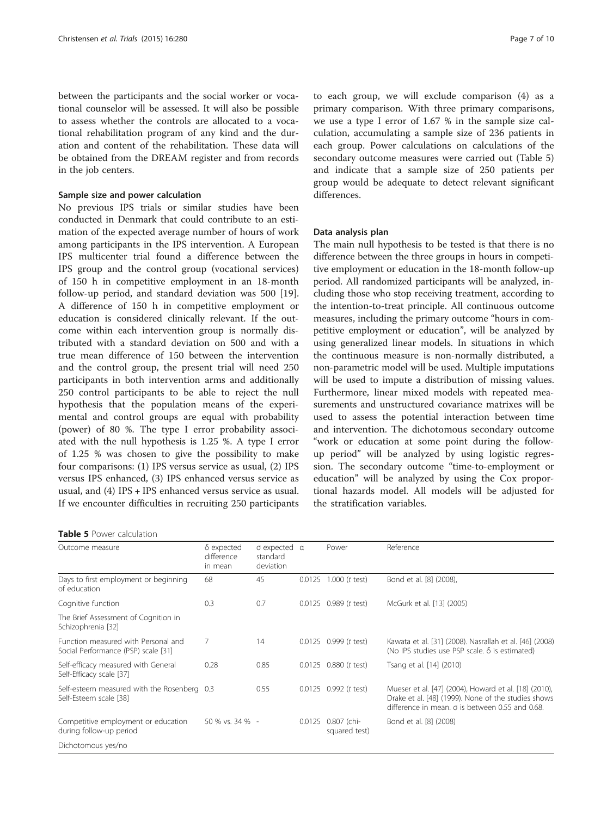between the participants and the social worker or vocational counselor will be assessed. It will also be possible to assess whether the controls are allocated to a vocational rehabilitation program of any kind and the duration and content of the rehabilitation. These data will be obtained from the DREAM register and from records in the job centers.

#### Sample size and power calculation

No previous IPS trials or similar studies have been conducted in Denmark that could contribute to an estimation of the expected average number of hours of work among participants in the IPS intervention. A European IPS multicenter trial found a difference between the IPS group and the control group (vocational services) of 150 h in competitive employment in an 18-month follow-up period, and standard deviation was 500 [\[19](#page-8-0)]. A difference of 150 h in competitive employment or education is considered clinically relevant. If the outcome within each intervention group is normally distributed with a standard deviation on 500 and with a true mean difference of 150 between the intervention and the control group, the present trial will need 250 participants in both intervention arms and additionally 250 control participants to be able to reject the null hypothesis that the population means of the experimental and control groups are equal with probability (power) of 80 %. The type I error probability associated with the null hypothesis is 1.25 %. A type I error of 1.25 % was chosen to give the possibility to make four comparisons: (1) IPS versus service as usual, (2) IPS versus IPS enhanced, (3) IPS enhanced versus service as usual, and (4) IPS + IPS enhanced versus service as usual. If we encounter difficulties in recruiting 250 participants

#### Table 5 Power calculation

to each group, we will exclude comparison (4) as a primary comparison. With three primary comparisons, we use a type I error of 1.67 % in the sample size calculation, accumulating a sample size of 236 patients in each group. Power calculations on calculations of the secondary outcome measures were carried out (Table 5) and indicate that a sample size of 250 patients per group would be adequate to detect relevant significant differences.

#### Data analysis plan

The main null hypothesis to be tested is that there is no difference between the three groups in hours in competitive employment or education in the 18-month follow-up period. All randomized participants will be analyzed, including those who stop receiving treatment, according to the intention-to-treat principle. All continuous outcome measures, including the primary outcome "hours in competitive employment or education", will be analyzed by using generalized linear models. In situations in which the continuous measure is non-normally distributed, a non-parametric model will be used. Multiple imputations will be used to impute a distribution of missing values. Furthermore, linear mixed models with repeated measurements and unstructured covariance matrixes will be used to assess the potential interaction between time and intervention. The dichotomous secondary outcome "work or education at some point during the followup period" will be analyzed by using logistic regression. The secondary outcome "time-to-employment or education" will be analyzed by using the Cox proportional hazards model. All models will be adjusted for the stratification variables.

| Outcome measure                                                            | $\delta$ expected<br>difference<br>in mean | σ expected α<br>standard<br>deviation |        | Power                             | Reference                                                                                                                                                              |
|----------------------------------------------------------------------------|--------------------------------------------|---------------------------------------|--------|-----------------------------------|------------------------------------------------------------------------------------------------------------------------------------------------------------------------|
| Days to first employment or beginning<br>of education                      | 68                                         | 45                                    | 0.0125 | $1.000$ ( <i>t</i> test)          | Bond et al. [8] (2008),                                                                                                                                                |
| Cognitive function                                                         | 0.3                                        | 0.7                                   |        | $0.0125$ 0.989 ( <i>t</i> test)   | McGurk et al. [13] (2005)                                                                                                                                              |
| The Brief Assessment of Cognition in<br>Schizophrenia [32]                 |                                            |                                       |        |                                   |                                                                                                                                                                        |
| Function measured with Personal and<br>Social Performance (PSP) scale [31] | 7                                          | 14                                    |        | $0.0125$ 0.999 (t test)           | Kawata et al. [31] (2008). Nasrallah et al. [46] (2008)<br>(No IPS studies use PSP scale. $\delta$ is estimated)                                                       |
| Self-efficacy measured with General<br>Self-Efficacy scale [37]            | 0.28                                       | 0.85                                  |        | $0.0125$ $0.880$ ( <i>t</i> test) | Tsang et al. [14] (2010)                                                                                                                                               |
| Self-esteem measured with the Rosenberg 0.3<br>Self-Esteem scale [38]      |                                            | 0.55                                  |        | $0.0125$ 0.992 ( <i>t</i> test)   | Mueser et al. [47] (2004), Howard et al. [18] (2010),<br>Drake et al. [48] (1999). None of the studies shows<br>difference in mean, $\sigma$ is between 0.55 and 0.68. |
| Competitive employment or education<br>during follow-up period             | 50 % vs. 34 % -                            |                                       | 0.0125 | 0.807 (chi-<br>squared test)      | Bond et al. [8] (2008)                                                                                                                                                 |
| Dichotomous yes/no                                                         |                                            |                                       |        |                                   |                                                                                                                                                                        |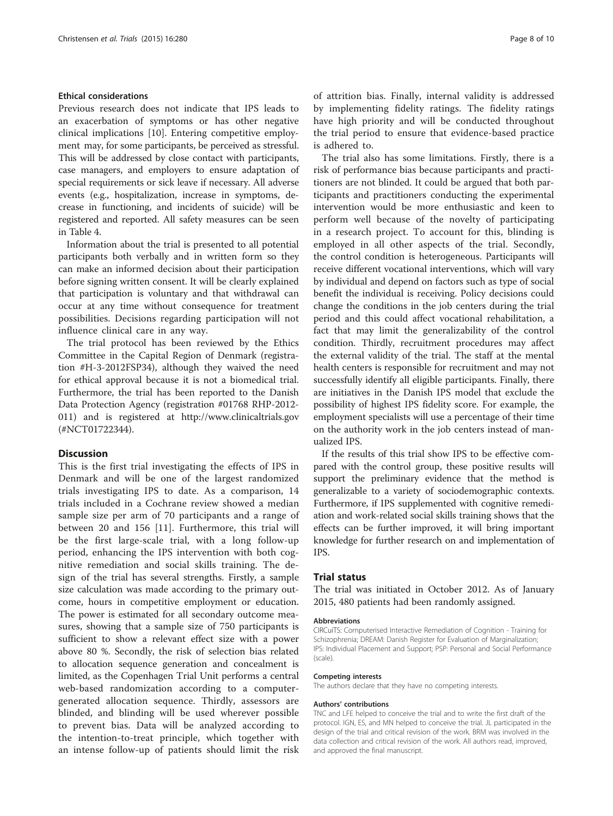#### Ethical considerations

Previous research does not indicate that IPS leads to an exacerbation of symptoms or has other negative clinical implications [[10\]](#page-8-0). Entering competitive employment may, for some participants, be perceived as stressful. This will be addressed by close contact with participants, case managers, and employers to ensure adaptation of special requirements or sick leave if necessary. All adverse events (e.g., hospitalization, increase in symptoms, decrease in functioning, and incidents of suicide) will be registered and reported. All safety measures can be seen in Table [4](#page-5-0).

Information about the trial is presented to all potential participants both verbally and in written form so they can make an informed decision about their participation before signing written consent. It will be clearly explained that participation is voluntary and that withdrawal can occur at any time without consequence for treatment possibilities. Decisions regarding participation will not influence clinical care in any way.

The trial protocol has been reviewed by the Ethics Committee in the Capital Region of Denmark (registration #H-3-2012FSP34), although they waived the need for ethical approval because it is not a biomedical trial. Furthermore, the trial has been reported to the Danish Data Protection Agency (registration #01768 RHP-2012- 011) and is registered at<http://www.clinicaltrials.gov> (#NCT01722344).

#### **Discussion**

This is the first trial investigating the effects of IPS in Denmark and will be one of the largest randomized trials investigating IPS to date. As a comparison, 14 trials included in a Cochrane review showed a median sample size per arm of 70 participants and a range of between 20 and 156 [[11\]](#page-8-0). Furthermore, this trial will be the first large-scale trial, with a long follow-up period, enhancing the IPS intervention with both cognitive remediation and social skills training. The design of the trial has several strengths. Firstly, a sample size calculation was made according to the primary outcome, hours in competitive employment or education. The power is estimated for all secondary outcome measures, showing that a sample size of 750 participants is sufficient to show a relevant effect size with a power above 80 %. Secondly, the risk of selection bias related to allocation sequence generation and concealment is limited, as the Copenhagen Trial Unit performs a central web-based randomization according to a computergenerated allocation sequence. Thirdly, assessors are blinded, and blinding will be used wherever possible to prevent bias. Data will be analyzed according to the intention-to-treat principle, which together with an intense follow-up of patients should limit the risk

of attrition bias. Finally, internal validity is addressed by implementing fidelity ratings. The fidelity ratings have high priority and will be conducted throughout the trial period to ensure that evidence-based practice is adhered to.

The trial also has some limitations. Firstly, there is a risk of performance bias because participants and practitioners are not blinded. It could be argued that both participants and practitioners conducting the experimental intervention would be more enthusiastic and keen to perform well because of the novelty of participating in a research project. To account for this, blinding is employed in all other aspects of the trial. Secondly, the control condition is heterogeneous. Participants will receive different vocational interventions, which will vary by individual and depend on factors such as type of social benefit the individual is receiving. Policy decisions could change the conditions in the job centers during the trial period and this could affect vocational rehabilitation, a fact that may limit the generalizability of the control condition. Thirdly, recruitment procedures may affect the external validity of the trial. The staff at the mental health centers is responsible for recruitment and may not successfully identify all eligible participants. Finally, there are initiatives in the Danish IPS model that exclude the possibility of highest IPS fidelity score. For example, the employment specialists will use a percentage of their time on the authority work in the job centers instead of manualized IPS.

If the results of this trial show IPS to be effective compared with the control group, these positive results will support the preliminary evidence that the method is generalizable to a variety of sociodemographic contexts. Furthermore, if IPS supplemented with cognitive remediation and work-related social skills training shows that the effects can be further improved, it will bring important knowledge for further research on and implementation of IPS.

# Trial status

The trial was initiated in October 2012. As of January 2015, 480 patients had been randomly assigned.

#### Abbreviations

CIRCuiTS: Computerised Interactive Remediation of Cognition - Training for Schizophrenia; DREAM: Danish Register for Evaluation of Marginalization; IPS: Individual Placement and Support; PSP: Personal and Social Performance (scale).

#### Competing interests

The authors declare that they have no competing interests.

#### Authors' contributions

TNC and LFE helped to conceive the trial and to write the first draft of the protocol. IGN, ES, and MN helped to conceive the trial. JL participated in the design of the trial and critical revision of the work. BRM was involved in the data collection and critical revision of the work. All authors read, improved, and approved the final manuscript.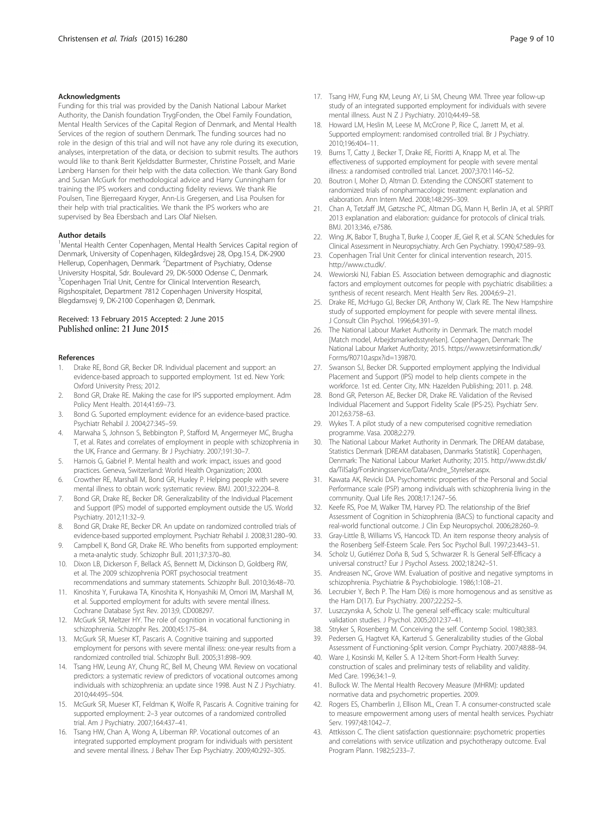#### <span id="page-8-0"></span>Acknowledgments

Funding for this trial was provided by the Danish National Labour Market Authority, the Danish foundation TrygFonden, the Obel Family Foundation, Mental Health Services of the Capital Region of Denmark, and Mental Health Services of the region of southern Denmark. The funding sources had no role in the design of this trial and will not have any role during its execution, analyses, interpretation of the data, or decision to submit results. The authors would like to thank Berit Kjeldsdatter Burmester, Christine Posselt, and Marie Lønberg Hansen for their help with the data collection. We thank Gary Bond and Susan McGurk for methodological advice and Harry Cunningham for training the IPS workers and conducting fidelity reviews. We thank Rie Poulsen, Tine Bjerregaard Kryger, Ann-Lis Gregersen, and Lisa Poulsen for their help with trial practicalities. We thank the IPS workers who are supervised by Bea Ebersbach and Lars Olaf Nielsen.

#### Author details

<sup>1</sup>Mental Health Center Copenhagen, Mental Health Services Capital region of Denmark, University of Copenhagen, Kildegårdsvej 28, Opg.15.4, DK-2900 Hellerup, Copenhagen, Denmark. <sup>2</sup>Department of Psychiatry, Odense University Hospital, Sdr. Boulevard 29, DK-5000 Odense C, Denmark. <sup>3</sup>Copenhagen Trial Unit, Centre for Clinical Intervention Research, Rigshospitalet, Department 7812 Copenhagen University Hospital, Blegdamsvej 9, DK-2100 Copenhagen Ø, Denmark.

#### Received: 13 February 2015 Accepted: 2 June 2015 Published online: 21 June 2015

#### References

- 1. Drake RE, Bond GR, Becker DR. Individual placement and support: an evidence-based approach to supported employment. 1st ed. New York: Oxford University Press; 2012.
- 2. Bond GR, Drake RE. Making the case for IPS supported employment. Adm Policy Ment Health. 2014;41:69–73.
- 3. Bond G. Suported employment: evidence for an evidence-based practice. Psychiatr Rehabil J. 2004;27:345–59.
- 4. Marwaha S, Johnson S, Bebbington P, Stafford M, Angermeyer MC, Brugha T, et al. Rates and correlates of employment in people with schizophrenia in the UK, France and Germany. Br J Psychiatry. 2007;191:30–7.
- 5. Harnois G, Gabriel P. Mental health and work: impact, issues and good practices. Geneva, Switzerland: World Health Organization; 2000.
- 6. Crowther RE, Marshall M, Bond GR, Huxley P. Helping people with severe mental illness to obtain work: systematic review. BMJ. 2001;322:204–8.
- 7. Bond GR, Drake RE, Becker DR. Generalizability of the Individual Placement and Support (IPS) model of supported employment outside the US. World Psychiatry. 2012;11:32–9.
- 8. Bond GR, Drake RE, Becker DR. An update on randomized controlled trials of evidence-based supported employment. Psychiatr Rehabil J. 2008;31:280–90.
- 9. Campbell K, Bond GR, Drake RE. Who benefits from supported employment: a meta-analytic study. Schizophr Bull. 2011;37:370–80.
- 10. Dixon LB, Dickerson F, Bellack AS, Bennett M, Dickinson D, Goldberg RW, et al. The 2009 schizophrenia PORT psychosocial treatment
- recommendations and summary statements. Schizophr Bull. 2010;36:48–70. 11. Kinoshita Y, Furukawa TA, Kinoshita K, Honyashiki M, Omori IM, Marshall M, et al. Supported employment for adults with severe mental illness.
- Cochrane Database Syst Rev. 2013;9, CD008297. 12. McGurk SR, Meltzer HY. The role of cognition in vocational functioning in
- schizophrenia. Schizophr Res. 2000;45:175–84.
- 13. McGurk SR, Mueser KT, Pascaris A. Cognitive training and supported employment for persons with severe mental illness: one-year results from a randomized controlled trial. Schizophr Bull. 2005;31:898–909.
- 14. Tsang HW, Leung AY, Chung RC, Bell M, Cheung WM. Review on vocational predictors: a systematic review of predictors of vocational outcomes among individuals with schizophrenia: an update since 1998. Aust N Z J Psychiatry. 2010;44:495–504.
- 15. McGurk SR, Mueser KT, Feldman K, Wolfe R, Pascaris A. Cognitive training for supported employment: 2–3 year outcomes of a randomized controlled trial. Am J Psychiatry. 2007;164:437–41.
- 16. Tsang HW, Chan A, Wong A, Liberman RP. Vocational outcomes of an integrated supported employment program for individuals with persistent and severe mental illness. J Behav Ther Exp Psychiatry. 2009;40:292–305.
- 17. Tsang HW, Fung KM, Leung AY, Li SM, Cheung WM. Three year follow-up study of an integrated supported employment for individuals with severe mental illness. Aust N Z J Psychiatry. 2010;44:49–58.
- 18. Howard LM, Heslin M, Leese M, McCrone P, Rice C, Jarrett M, et al. Supported employment: randomised controlled trial. Br J Psychiatry. 2010;196:404–11.
- 19. Burns T, Catty J, Becker T, Drake RE, Fioritti A, Knapp M, et al. The effectiveness of supported employment for people with severe mental illness: a randomised controlled trial. Lancet. 2007;370:1146–52.
- 20. Boutron I, Moher D, Altman D. Extending the CONSORT statement to randomized trials of nonpharmacologic treatment: explanation and elaboration. Ann Intern Med. 2008;148:295–309.
- 21. Chan A, Tetzlaff JM, Gøtzsche PC, Altman DG, Mann H, Berlin JA, et al. SPIRIT 2013 explanation and elaboration: quidance for protocols of clinical trials. BMJ. 2013;346, e7586.
- 22. Wing JK, Babor T, Brugha T, Burke J, Cooper JE, Giel R, et al. SCAN: Schedules for Clinical Assessment in Neuropsychiatry. Arch Gen Psychiatry. 1990;47:589–93.
- 23. Copenhagen Trial Unit Center for clinical intervention research, 2015. [http://www.ctu.dk/.](http://www.ctu.dk/)
- 24. Wewiorski NJ, Fabian ES. Association between demographic and diagnostic factors and employment outcomes for people with psychiatric disabilities: a synthesis of recent research. Ment Health Serv Res. 2004;6:9–21.
- 25. Drake RE, McHugo GJ, Becker DR, Anthony W, Clark RE. The New Hampshire study of supported employment for people with severe mental illness. J Consult Clin Psychol. 1996;64:391–9.
- 26. The National Labour Market Authority in Denmark. The match model [Match model, Arbejdsmarkedsstyrelsen]. Copenhagen, Denmark: The National Labour Market Authority; 2015. [https://www.retsinformation.dk/](https://www.retsinformation.dk/Forms/R0710.aspx?id=139870) [Forms/R0710.aspx?id=139870](https://www.retsinformation.dk/Forms/R0710.aspx?id=139870).
- 27. Swanson SJ, Becker DR. Supported employment applying the Individual Placement and Support (IPS) model to help clients compete in the workforce. 1st ed. Center City, MN: Hazelden Publishing; 2011. p. 248.
- 28. Bond GR, Peterson AE, Becker DR, Drake RE. Validation of the Revised Individual Placement and Support Fidelity Scale (IPS-25). Psychiatr Serv. 2012;63:758–63.
- 29. Wykes T. A pilot study of a new computerised cognitive remediation programme. Vasa. 2008;2:279.
- 30. The National Labour Market Authority in Denmark. The DREAM database, Statistics Denmark [DREAM databasen, Danmarks Statistik]. Copenhagen, Denmark: The National Labour Market Authority; 2015. [http://www.dst.dk/](http://www.dst.dk/da/TilSalg/Forskningsservice/Data/Andre_Styrelser.aspx) [da/TilSalg/Forskningsservice/Data/Andre\\_Styrelser.aspx.](http://www.dst.dk/da/TilSalg/Forskningsservice/Data/Andre_Styrelser.aspx)
- 31. Kawata AK, Revicki DA. Psychometric properties of the Personal and Social Performance scale (PSP) among individuals with schizophrenia living in the community. Qual Life Res. 2008;17:1247–56.
- 32. Keefe RS, Poe M, Walker TM, Harvey PD. The relationship of the Brief Assessment of Cognition in Schizophrenia (BACS) to functional capacity and real-world functional outcome. J Clin Exp Neuropsychol. 2006;28:260–9.
- 33. Gray-Little B, Williams VS, Hancock TD. An item response theory analysis of the Rosenberg Self-Esteem Scale. Pers Soc Psychol Bull. 1997;23:443–51.
- 34. Scholz U, Gutiérrez Doña B, Sud S, Schwarzer R. Is General Self-Efficacy a universal construct? Eur J Psychol Assess. 2002;18:242–51.
- 35. Andreasen NC, Grove WM. Evaluation of positive and negative symptoms in schizophrenia. Psychiatrie & Psychobiologie. 1986;1:108–21.
- 36. Lecrubier Y, Bech P. The Ham D(6) is more homogenous and as sensitive as the Ham D(17). Eur Psychiatry. 2007;22:252–5.
- 37. Luszczynska A, Scholz U. The general self-efficacy scale: multicultural validation studies. J Psychol. 2005;2012:37–41.
- 38. Stryker S, Rosenberg M. Conceiving the self. Contemp Sociol. 1980;383.
- 39. Pedersen G, Hagtvet KA, Karterud S. Generalizability studies of the Global Assessment of Functioning-Split version. Compr Psychiatry. 2007;48:88–94.
- 40. Ware J, Kosinski M, Keller S. A 12-Item Short-Form Health Survey: construction of scales and preliminary tests of reliability and validity. Med Care. 1996;34:1–9.
- 41. Bullock W. The Mental Health Recovery Measure (MHRM): updated normative data and psychometric properties. 2009.
- 42. Rogers ES, Chamberlin J, Ellison ML, Crean T. A consumer-constructed scale to measure empowerment among users of mental health services. Psychiatr Serv. 1997;48:1042–7.
- 43. Attkisson C. The client satisfaction questionnaire: psychometric properties and correlations with service utilization and psychotherapy outcome. Eval Program Plann. 1982;5:233–7.